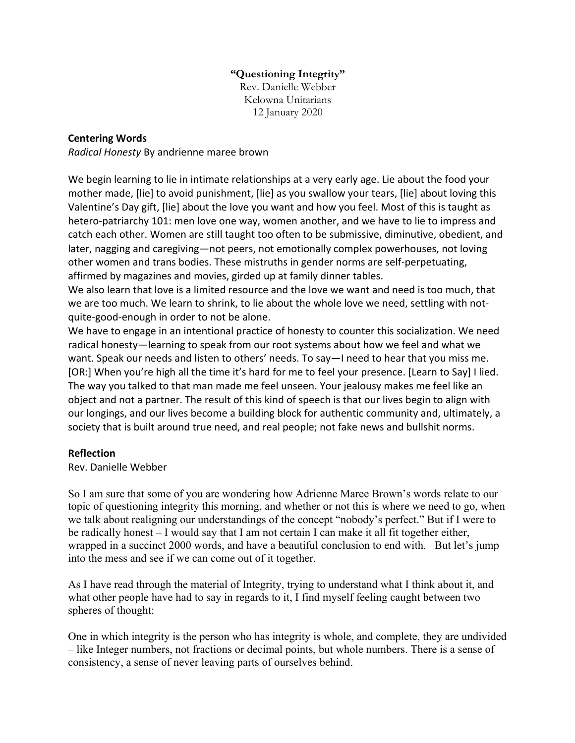## **"Questioning Integrity"** Rev. Danielle Webber Kelowna Unitarians 12 January 2020

## **Centering Words**

*Radical Honesty* By andrienne maree brown

We begin learning to lie in intimate relationships at a very early age. Lie about the food your mother made, [lie] to avoid punishment, [lie] as you swallow your tears, [lie] about loving this Valentine's Day gift, [lie] about the love you want and how you feel. Most of this is taught as hetero-patriarchy 101: men love one way, women another, and we have to lie to impress and catch each other. Women are still taught too often to be submissive, diminutive, obedient, and later, nagging and caregiving—not peers, not emotionally complex powerhouses, not loving other women and trans bodies. These mistruths in gender norms are self-perpetuating, affirmed by magazines and movies, girded up at family dinner tables.

We also learn that love is a limited resource and the love we want and need is too much, that we are too much. We learn to shrink, to lie about the whole love we need, settling with notquite-good-enough in order to not be alone.

We have to engage in an intentional practice of honesty to counter this socialization. We need radical honesty—learning to speak from our root systems about how we feel and what we want. Speak our needs and listen to others' needs. To say—I need to hear that you miss me. [OR:] When you're high all the time it's hard for me to feel your presence. [Learn to Say] I lied. The way you talked to that man made me feel unseen. Your jealousy makes me feel like an object and not a partner. The result of this kind of speech is that our lives begin to align with our longings, and our lives become a building block for authentic community and, ultimately, a society that is built around true need, and real people; not fake news and bullshit norms.

## **Reflection**

Rev. Danielle Webber

So I am sure that some of you are wondering how Adrienne Maree Brown's words relate to our topic of questioning integrity this morning, and whether or not this is where we need to go, when we talk about realigning our understandings of the concept "nobody's perfect." But if I were to be radically honest – I would say that I am not certain I can make it all fit together either, wrapped in a succinct 2000 words, and have a beautiful conclusion to end with. But let's jump into the mess and see if we can come out of it together.

As I have read through the material of Integrity, trying to understand what I think about it, and what other people have had to say in regards to it, I find myself feeling caught between two spheres of thought:

One in which integrity is the person who has integrity is whole, and complete, they are undivided – like Integer numbers, not fractions or decimal points, but whole numbers. There is a sense of consistency, a sense of never leaving parts of ourselves behind.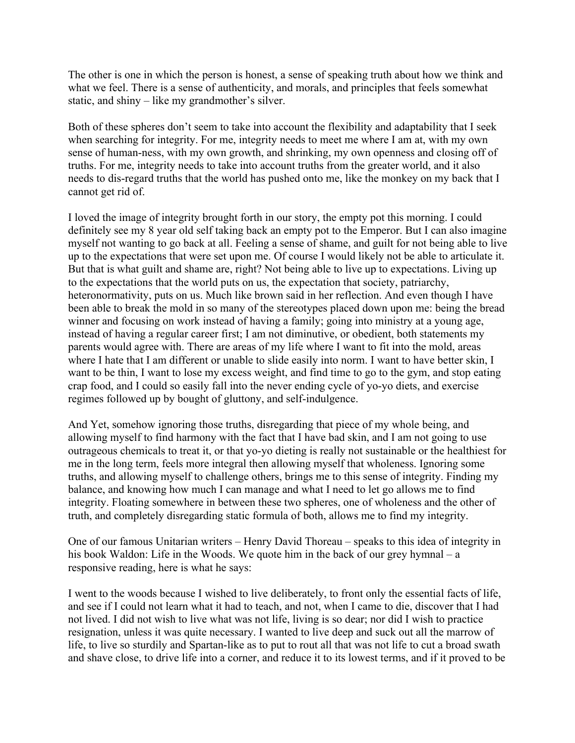The other is one in which the person is honest, a sense of speaking truth about how we think and what we feel. There is a sense of authenticity, and morals, and principles that feels somewhat static, and shiny – like my grandmother's silver.

Both of these spheres don't seem to take into account the flexibility and adaptability that I seek when searching for integrity. For me, integrity needs to meet me where I am at, with my own sense of human-ness, with my own growth, and shrinking, my own openness and closing off of truths. For me, integrity needs to take into account truths from the greater world, and it also needs to dis-regard truths that the world has pushed onto me, like the monkey on my back that I cannot get rid of.

I loved the image of integrity brought forth in our story, the empty pot this morning. I could definitely see my 8 year old self taking back an empty pot to the Emperor. But I can also imagine myself not wanting to go back at all. Feeling a sense of shame, and guilt for not being able to live up to the expectations that were set upon me. Of course I would likely not be able to articulate it. But that is what guilt and shame are, right? Not being able to live up to expectations. Living up to the expectations that the world puts on us, the expectation that society, patriarchy, heteronormativity, puts on us. Much like brown said in her reflection. And even though I have been able to break the mold in so many of the stereotypes placed down upon me: being the bread winner and focusing on work instead of having a family; going into ministry at a young age, instead of having a regular career first; I am not diminutive, or obedient, both statements my parents would agree with. There are areas of my life where I want to fit into the mold, areas where I hate that I am different or unable to slide easily into norm. I want to have better skin, I want to be thin, I want to lose my excess weight, and find time to go to the gym, and stop eating crap food, and I could so easily fall into the never ending cycle of yo-yo diets, and exercise regimes followed up by bought of gluttony, and self-indulgence.

And Yet, somehow ignoring those truths, disregarding that piece of my whole being, and allowing myself to find harmony with the fact that I have bad skin, and I am not going to use outrageous chemicals to treat it, or that yo-yo dieting is really not sustainable or the healthiest for me in the long term, feels more integral then allowing myself that wholeness. Ignoring some truths, and allowing myself to challenge others, brings me to this sense of integrity. Finding my balance, and knowing how much I can manage and what I need to let go allows me to find integrity. Floating somewhere in between these two spheres, one of wholeness and the other of truth, and completely disregarding static formula of both, allows me to find my integrity.

One of our famous Unitarian writers – Henry David Thoreau – speaks to this idea of integrity in his book Waldon: Life in the Woods. We quote him in the back of our grey hymnal – a responsive reading, here is what he says:

I went to the woods because I wished to live deliberately, to front only the essential facts of life, and see if I could not learn what it had to teach, and not, when I came to die, discover that I had not lived. I did not wish to live what was not life, living is so dear; nor did I wish to practice resignation, unless it was quite necessary. I wanted to live deep and suck out all the marrow of life, to live so sturdily and Spartan-like as to put to rout all that was not life to cut a broad swath and shave close, to drive life into a corner, and reduce it to its lowest terms, and if it proved to be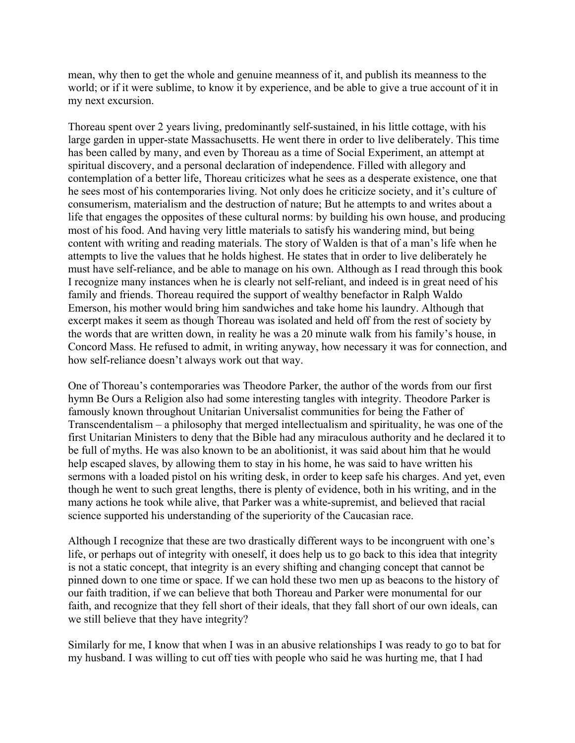mean, why then to get the whole and genuine meanness of it, and publish its meanness to the world; or if it were sublime, to know it by experience, and be able to give a true account of it in my next excursion.

Thoreau spent over 2 years living, predominantly self-sustained, in his little cottage, with his large garden in upper-state Massachusetts. He went there in order to live deliberately. This time has been called by many, and even by Thoreau as a time of Social Experiment, an attempt at spiritual discovery, and a personal declaration of independence. Filled with allegory and contemplation of a better life, Thoreau criticizes what he sees as a desperate existence, one that he sees most of his contemporaries living. Not only does he criticize society, and it's culture of consumerism, materialism and the destruction of nature; But he attempts to and writes about a life that engages the opposites of these cultural norms: by building his own house, and producing most of his food. And having very little materials to satisfy his wandering mind, but being content with writing and reading materials. The story of Walden is that of a man's life when he attempts to live the values that he holds highest. He states that in order to live deliberately he must have self-reliance, and be able to manage on his own. Although as I read through this book I recognize many instances when he is clearly not self-reliant, and indeed is in great need of his family and friends. Thoreau required the support of wealthy benefactor in Ralph Waldo Emerson, his mother would bring him sandwiches and take home his laundry. Although that excerpt makes it seem as though Thoreau was isolated and held off from the rest of society by the words that are written down, in reality he was a 20 minute walk from his family's house, in Concord Mass. He refused to admit, in writing anyway, how necessary it was for connection, and how self-reliance doesn't always work out that way.

One of Thoreau's contemporaries was Theodore Parker, the author of the words from our first hymn Be Ours a Religion also had some interesting tangles with integrity. Theodore Parker is famously known throughout Unitarian Universalist communities for being the Father of Transcendentalism – a philosophy that merged intellectualism and spirituality, he was one of the first Unitarian Ministers to deny that the Bible had any miraculous authority and he declared it to be full of myths. He was also known to be an abolitionist, it was said about him that he would help escaped slaves, by allowing them to stay in his home, he was said to have written his sermons with a loaded pistol on his writing desk, in order to keep safe his charges. And yet, even though he went to such great lengths, there is plenty of evidence, both in his writing, and in the many actions he took while alive, that Parker was a white-supremist, and believed that racial science supported his understanding of the superiority of the Caucasian race.

Although I recognize that these are two drastically different ways to be incongruent with one's life, or perhaps out of integrity with oneself, it does help us to go back to this idea that integrity is not a static concept, that integrity is an every shifting and changing concept that cannot be pinned down to one time or space. If we can hold these two men up as beacons to the history of our faith tradition, if we can believe that both Thoreau and Parker were monumental for our faith, and recognize that they fell short of their ideals, that they fall short of our own ideals, can we still believe that they have integrity?

Similarly for me, I know that when I was in an abusive relationships I was ready to go to bat for my husband. I was willing to cut off ties with people who said he was hurting me, that I had